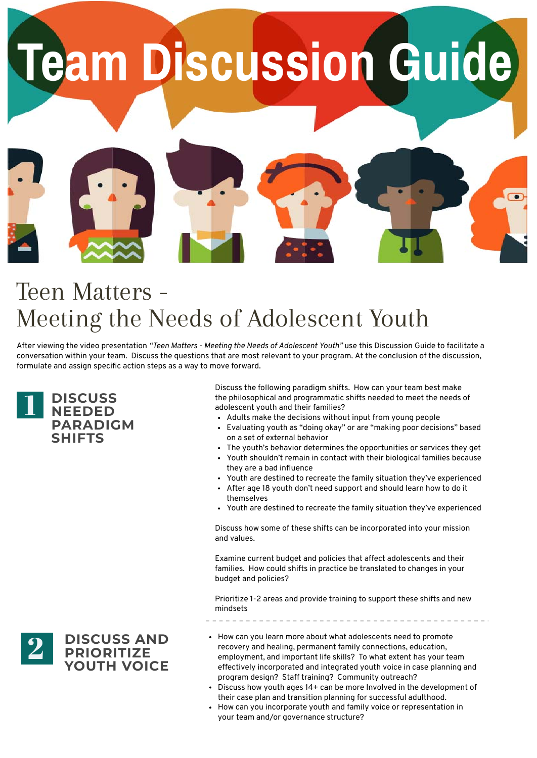After viewing the video presentation *"Teen Matters - Meeting the Needs of Adolescent Youth"* use this Discussion Guide to facilitate a conversation within your team. Discuss the questions that are most relevant to your program. At the conclusion of the discussion, formulate and assign specific action steps as a way to move forward.

## Teen Matters - Meeting the Needs of Adolescent Youth





Discuss the following paradigm shifts. How can your team best make the philosophical and programmatic shifts needed to meet the needs of adolescent youth and their families?

- Adults make the decisions without input from young people
- Evaluating youth as "doing okay" or are "making poor decisions" based on a set of external behavior
- The youth's behavior determines the opportunities or services they get
- Youth shouldn't remain in contact with their biological families because they are a bad influence
- Youth are destined to recreate the family situation they've experienced
- After age 18 youth don't need support and should learn how to do it themselves
- Youth are destined to recreate the family situation they've experienced

- How can you learn more about what adolescents need to promote recovery and healing, permanent family connections, education, employment, and important life skills? To what extent has your team effectively incorporated and integrated youth voice in case planning and program design? Staff training? Community outreach?
- Discuss how youth ages 14+ can be more Involved in the development of their case plan and transition planning for successful adulthood.
- How can you incorporate youth and family voice or representation in your team and/or governance structure?

Discuss how some of these shifts can be incorporated into your mission and values.

Examine current budget and policies that affect adolescents and their families. How could shifts in practice be translated to changes in your budget and policies?

Prioritize 1-2 areas and provide training to support these shifts and new mindsets

![](_page_0_Picture_15.jpeg)